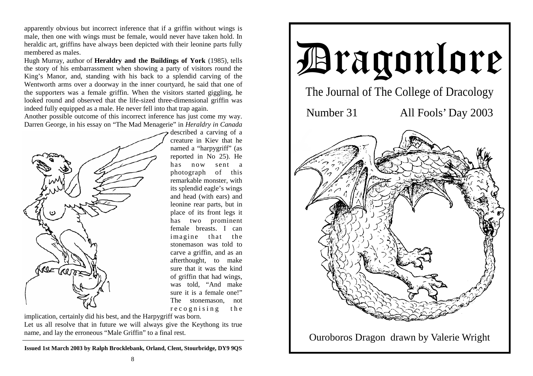apparently obvious but incorrect inference that if a griffin without wings is male, then one with wings must be female, would never have taken hold. In heraldic art, griffins have always been depicted with their leonine parts fully membered as males.

Hugh Murray, author of **Heraldry and the Buildings of York** (1985), tells the story of his embarrassment when showing a party of visitors round the King's Manor, and, standing with his back to a splendid carving of the Wentworth arms over a doorway in the inner courtyard, he said that one of the supporters was a female griffin. When the visitors started giggling, he looked round and observed that the life-sized three-dimensional griffin was indeed fully equipped as a male. He never fell into that trap again.

Another possible outcome of this incorrect inference has just come my way. Darren George, in his essay on "The Mad Menagerie" in *Heraldry in Canada* 



described a carving of a creature in Kiev that he named a "harpygriff" (as reported in No 25). He has now sent a photograph of this remarkable monster, with its splendid eagle's wings and head (with ears) and leonine rear parts, but in place of its front legs it has two prominent female breasts. I can imagine that the stonemason was told to carve a griffin, and as an afterthought, to make sure that it was the kind of griffin that had wings, was told, "And make sure it is a female one!" The stonemason, not recognising the

implication, certainly did his best, and the Harpygriff was born. Let us all resolve that in future we will always give the Keythong its true name, and lay the erroneous "Male Griffin" to a final rest.

**Issued 1st March 2003 by Ralph Brocklebank, Orland, Clent, Stourbridge, DY9 9QS** 

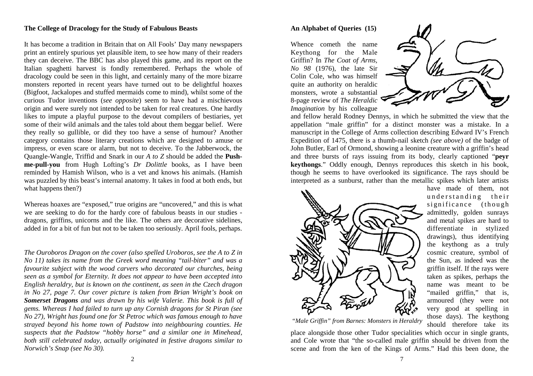## **The College of Dracology for the Study of Fabulous Beasts**

It has become a tradition in Britain that on All Fools' Day many newspapers print an entirely spurious yet plausible item, to see how many of their readers they can deceive. The BBC has also played this game, and its report on the Italian spaghetti harvest is fondly remembered. Perhaps the whole of dracology could be seen in this light, and certainly many of the more bizarre monsters reported in recent years have turned out to be delightful hoaxes (Bigfoot, Jackalopes and stuffed mermaids come to mind), whilst some of the curious Tudor inventions (*see opposite*) seem to have had a mischievous origin and were surely not intended to be taken for real creatures. One hardly likes to impute a playful purpose to the devout compilers of bestiaries, yet some of their wild animals and the tales told about them beggar belief. Were they really so gullible, or did they too have a sense of humour? Another category contains those literary creations which are designed to amuse or impress, or even scare or alarm, but not to deceive. To the Jabberwock, the Quangle-Wangle, Triffid and Snark in our *A to Z* should be added the **Pushme-pull-you** from Hugh Lofting's *Dr Dolittle* books, as I have been reminded by Hamish Wilson, who is a vet and knows his animals. (Hamish was puzzled by this beast's internal anatomy. It takes in food at both ends, but what happens then?)

Whereas hoaxes are "exposed," true origins are "uncovered," and this is what we are seeking to do for the hardy core of fabulous beasts in our studies dragons, griffins, unicorns and the like. The others are decorative sidelines, added in for a bit of fun but not to be taken too seriously. April fools, perhaps.

*The Ouroboros Dragon on the cover (also spelled Uroboros, see the A to Z in No 11) takes its name from the Greek word meaning "tail-biter" and was a favourite subject with the wood carvers who decorated our churches, being seen as a symbol for Eternity. It does not appear to have been accepted into English heraldry, but is known on the continent, as seen in the Czech dragon in No 27, page 7. Our cover picture is taken from Brian Wright's book on Somerset Dragons and was drawn by his wife Valerie. This book is full of gems. Whereas I had failed to turn up any Cornish dragons for St Piran (see No 27), Wright has found one for St Petroc which was famous enough to have strayed beyond his home town of Padstow into neighbouring counties. He suspects that the Padstow "hobby horse" and a similar one in Minehead, both still celebrated today, actually originated in festive dragons similar to Norwich's Snap (see No 30).*

## **An Alphabet of Queries (15)**

Whence cometh the name Keythong for the Male Griffin? In *The Coat of Arms, No 98* (1976), the late Sir Colin Cole, who was himself quite an authority on heraldic monsters, wrote a substantial 8-page review of *The Heraldic Imagination* by his colleague



and fellow herald Rodney Dennys, in which he submitted the view that the appellation "male griffin" for a distinct monster was a mistake. In a manuscript in the College of Arms collection describing Edward IV's French Expedition of 1475, there is a thumb-nail sketch *(see above)* of the badge of John Butler, Earl of Ormond, showing a leonine creature with a griffin's head and three bursts of rays issuing from its body, clearly captioned "**peyr keythongs**." Oddly enough, Dennys reproduces this sketch in his book, though he seems to have overlooked its significance. The rays should be interpreted as a sunburst, rather than the metallic spikes which later artists



have made of them, not understanding their significance (though admittedly, golden sunrays and metal spikes are hard to differentiate in stylized drawings), thus identifying the keythong as a truly cosmic creature, symbol of the Sun, as indeed was the griffin itself. If the rays were taken as spikes, perhaps the name was meant to be "mailed griffin," that is, armoured (they were not very good at spelling in those days). The keythong should therefore take its

*"Male Griffin" from Barnes: Monsters in Heraldry* 

place alongside those other Tudor specialities which occur in single grants, and Cole wrote that "the so-called male griffin should be driven from the scene and from the ken of the Kings of Arms." Had this been done, the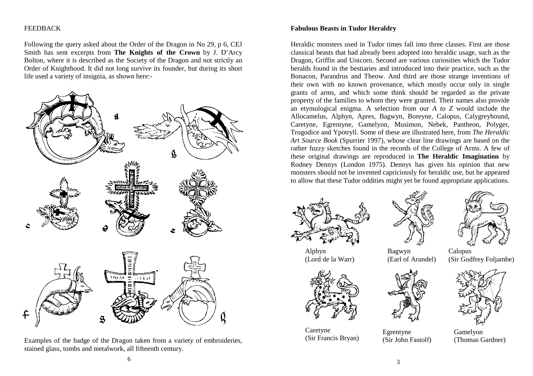## FEEDBACK

Following the query asked about the Order of the Dragon in No 29, p 6, CEJ Smith has sent excerpts from **The Knights of the Crown** by J. D'Arcy Bolton, where it is described as the Society of the Dragon and not strictly an Order of Knighthood. It did not long survive its founder, but during its short life used a variety of insignia, as shown here:-



Examples of the badge of the Dragon taken from a variety of embroideries, stained glass, tombs and metalwork, all fifteenth century.

Heraldic monsters used in Tudor times fall into three classes. First are those classical beasts that had already been adopted into heraldic usage, such as the Dragon, Griffin and Unicorn. Second are various curiosities which the Tudor heralds found in the bestiaries and introduced into their practice, such as the Bonacon, Parandrus and Theow. And third are those strange inventions of their own with no known provenance, which mostly occur only in single grants of arms, and which some think should be regarded as the private property of the families to whom they were granted. Their names also provide an etymological enigma. A selection from our *A to Z* would include the Allocamelus, Alphyn, Apres, Bagwyn, Boreyne, Calopus, Calygreyhound, Caretyne, Egrentyne, Gamelyon, Musimon, Nebek, Pantheon, Polyger, Trogodice and Ypotryll. Some of these are illustrated here, from *The Heraldic Art Source Book* (Spurrier 1997), whose clear line drawings are based on the rather fuzzy sketches found in the records of the College of Arms. A few of these original drawings are reproduced in **The Heraldic Imagination** by Rodney Dennys (London 1975). Dennys has given his opinion that new monsters should not be invented capriciously for heraldic use, but he appeared to allow that these Tudor oddities might yet be found appropriate applications.





Alphyn (Lord de la Warr)



Caretyne Caretyne Egrentyne Gamelyon<br>
(Sir Francis Bryan) (Sir John Fastolf) (Thomas Gardner)



Calopus (Sir Godfrey Foljambe)